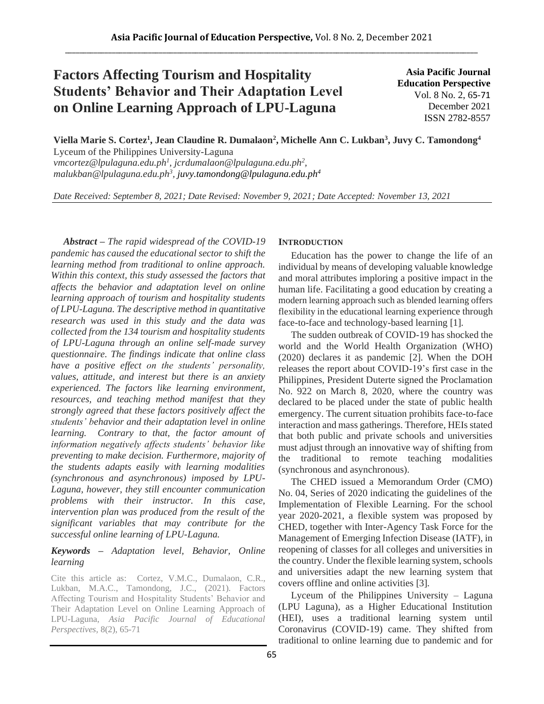# **Factors Affecting Tourism and Hospitality Students' Behavior and Their Adaptation Level on Online Learning Approach of LPU-Laguna**

**Asia Pacific Journal Education Perspective** Vol. 8 No. 2, 65-71 December 2021 ISSN 2782-8557

**Viella Marie S. Cortez<sup>1</sup> , Jean Claudine R. Dumalaon<sup>2</sup> , Michelle Ann C. Lukban<sup>3</sup> , Juvy C. Tamondong<sup>4</sup>** Lyceum of the Philippines University-Laguna

*vmcortez@lpulaguna.edu.ph 1 , jcrdumalaon@lpulaguna.edu.ph<sup>2</sup> , malukban@lpulaguna.edu.ph<sup>3</sup> , juvy.tamondong@lpulaguna.edu.ph<sup>4</sup>*

*Date Received: September 8, 2021; Date Revised: November 9, 2021; Date Accepted: November 13, 2021*

*Abstract – The rapid widespread of the COVID-19 pandemic has caused the educational sector to shift the learning method from traditional to online approach. Within this context, this study assessed the factors that affects the behavior and adaptation level on online learning approach of tourism and hospitality students of LPU-Laguna. The descriptive method in quantitative research was used in this study and the data was collected from the 134 tourism and hospitality students of LPU-Laguna through an online self-made survey questionnaire. The findings indicate that online class have a positive effect on the students' personality, values, attitude, and interest but there is an anxiety experienced. The factors like learning environment, resources, and teaching method manifest that they strongly agreed that these factors positively affect the students' behavior and their adaptation level in online learning. Contrary to that, the factor amount of information negatively affects students' behavior like preventing to make decision. Furthermore, majority of the students adapts easily with learning modalities (synchronous and asynchronous) imposed by LPU-Laguna, however, they still encounter communication problems with their instructor. In this case, intervention plan was produced from the result of the significant variables that may contribute for the successful online learning of LPU-Laguna.*

## *Keywords – Adaptation level, Behavior, Online learning*

Cite this article as: Cortez, V.M.C., Dumalaon, C.R., Lukban, M.A.C., Tamondong, J.C., (2021). Factors Affecting Tourism and Hospitality Students' Behavior and Their Adaptation Level on Online Learning Approach of LPU-Laguna, *Asia Pacific Journal of Educational Perspectives,* 8(2), 65-71

## **INTRODUCTION**

Education has the power to change the life of an individual by means of developing valuable knowledge and moral attributes imploring a positive impact in the human life. Facilitating a good education by creating a modern learning approach such as blended learning offers flexibility in the educational learning experience through face-to-face and technology-based learning [1].

The sudden outbreak of COVID-19 has shocked the world and the World Health Organization (WHO) (2020) declares it as pandemic [2]. When the DOH releases the report about COVID-19's first case in the Philippines, President Duterte signed the Proclamation No. 922 on March 8, 2020, where the country was declared to be placed under the state of public health emergency. The current situation prohibits face-to-face interaction and mass gatherings. Therefore, HEIs stated that both public and private schools and universities must adjust through an innovative way of shifting from the traditional to remote teaching modalities (synchronous and asynchronous).

The CHED issued a Memorandum Order (CMO) No. 04, Series of 2020 indicating the guidelines of the Implementation of Flexible Learning. For the school year 2020-2021, a flexible system was proposed by CHED, together with Inter-Agency Task Force for the Management of Emerging Infection Disease (IATF), in reopening of classes for all colleges and universities in the country. Under the flexible learning system, schools and universities adapt the new learning system that covers offline and online activities [3].

Lyceum of the Philippines University – Laguna (LPU Laguna), as a Higher Educational Institution (HEI), uses a traditional learning system until Coronavirus (COVID-19) came. They shifted from traditional to online learning due to pandemic and for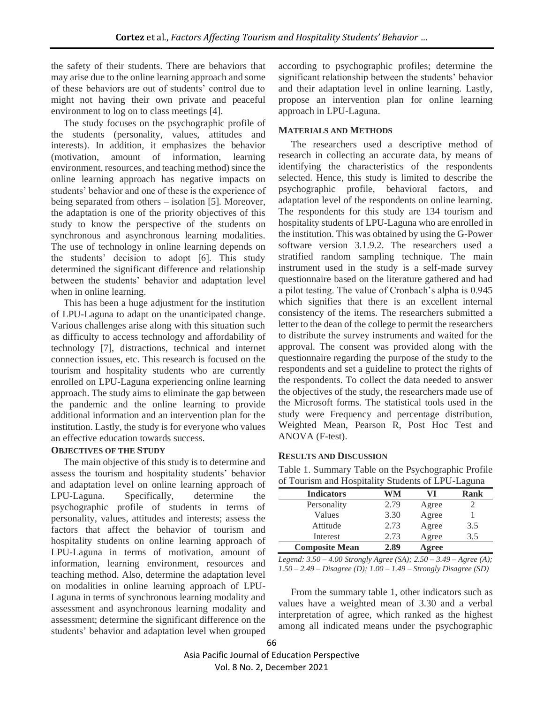the safety of their students. There are behaviors that may arise due to the online learning approach and some of these behaviors are out of students' control due to might not having their own private and peaceful environment to log on to class meetings [4].

The study focuses on the psychographic profile of the students (personality, values, attitudes and interests). In addition, it emphasizes the behavior (motivation, amount of information, learning environment, resources, and teaching method) since the online learning approach has negative impacts on students' behavior and one of these is the experience of being separated from others – isolation [5]. Moreover, the adaptation is one of the priority objectives of this study to know the perspective of the students on synchronous and asynchronous learning modalities. The use of technology in online learning depends on the students' decision to adopt [6]. This study determined the significant difference and relationship between the students' behavior and adaptation level when in online learning.

This has been a huge adjustment for the institution of LPU-Laguna to adapt on the unanticipated change. Various challenges arise along with this situation such as difficulty to access technology and affordability of technology [7], distractions, technical and internet connection issues, etc. This research is focused on the tourism and hospitality students who are currently enrolled on LPU-Laguna experiencing online learning approach. The study aims to eliminate the gap between the pandemic and the online learning to provide additional information and an intervention plan for the institution. Lastly, the study is for everyone who values an effective education towards success.

## **OBJECTIVES OF THE STUDY**

The main objective of this study is to determine and assess the tourism and hospitality students' behavior and adaptation level on online learning approach of LPU-Laguna. Specifically, determine the psychographic profile of students in terms of personality, values, attitudes and interests; assess the factors that affect the behavior of tourism and hospitality students on online learning approach of LPU-Laguna in terms of motivation, amount of information, learning environment, resources and teaching method. Also, determine the adaptation level on modalities in online learning approach of LPU-Laguna in terms of synchronous learning modality and assessment and asynchronous learning modality and assessment; determine the significant difference on the students' behavior and adaptation level when grouped according to psychographic profiles; determine the significant relationship between the students' behavior and their adaptation level in online learning. Lastly, propose an intervention plan for online learning approach in LPU-Laguna.

## **MATERIALS AND METHODS**

The researchers used a descriptive method of research in collecting an accurate data, by means of identifying the characteristics of the respondents selected. Hence, this study is limited to describe the psychographic profile, behavioral factors, and adaptation level of the respondents on online learning. The respondents for this study are 134 tourism and hospitality students of LPU-Laguna who are enrolled in the institution. This was obtained by using the G-Power software version 3.1.9.2. The researchers used a stratified random sampling technique. The main instrument used in the study is a self-made survey questionnaire based on the literature gathered and had a pilot testing. The value of Cronbach's alpha is 0.945 which signifies that there is an excellent internal consistency of the items. The researchers submitted a letter to the dean of the college to permit the researchers to distribute the survey instruments and waited for the approval. The consent was provided along with the questionnaire regarding the purpose of the study to the respondents and set a guideline to protect the rights of the respondents. To collect the data needed to answer the objectives of the study, the researchers made use of the Microsoft forms. The statistical tools used in the study were Frequency and percentage distribution, Weighted Mean, Pearson R, Post Hoc Test and ANOVA (F-test).

## **RESULTS AND DISCUSSION**

Table 1. Summary Table on the Psychographic Profile of Tourism and Hospitality Students of LPU-Laguna

| of Tourion and Hosphanty bradents of $E_1$ of $E_2$ and $E_3$ |      |       |             |  |
|---------------------------------------------------------------|------|-------|-------------|--|
| <b>Indicators</b>                                             | WM   | VI    | <b>Rank</b> |  |
| Personality                                                   | 2.79 | Agree |             |  |
| Values                                                        | 3.30 | Agree |             |  |
| Attitude                                                      | 2.73 | Agree | 3.5         |  |
| Interest                                                      | 2.73 | Agree | 3.5         |  |
| <b>Composite Mean</b>                                         | 2.89 | Agree |             |  |

*Legend: 3.50 – 4.00 Strongly Agree (SA); 2.50 – 3.49 – Agree (A); 1.50 – 2.49 – Disagree (D); 1.00 – 1.49 – Strongly Disagree (SD)*

From the summary table 1, other indicators such as values have a weighted mean of 3.30 and a verbal interpretation of agree, which ranked as the highest among all indicated means under the psychographic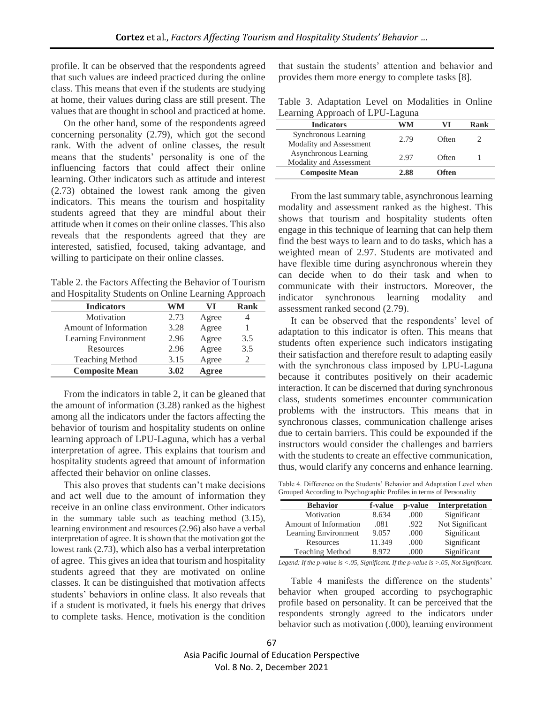profile. It can be observed that the respondents agreed that such values are indeed practiced during the online class. This means that even if the students are studying at home, their values during class are still present. The values that are thought in school and practiced at home.

On the other hand, some of the respondents agreed concerning personality (2.79), which got the second rank. With the advent of online classes, the result means that the students' personality is one of the influencing factors that could affect their online learning. Other indicators such as attitude and interest (2.73) obtained the lowest rank among the given indicators. This means the tourism and hospitality students agreed that they are mindful about their attitude when it comes on their online classes. This also reveals that the respondents agreed that they are interested, satisfied, focused, taking advantage, and willing to participate on their online classes.

Table 2. the Factors Affecting the Behavior of Tourism and Hospitality Students on Online Learning Approach

| <b>Indicators</b>      | WM   | VI    | Rank |
|------------------------|------|-------|------|
| Motivation             | 2.73 | Agree |      |
| Amount of Information  | 3.28 | Agree |      |
| Learning Environment   | 2.96 | Agree | 3.5  |
| Resources              | 2.96 | Agree | 3.5  |
| <b>Teaching Method</b> | 3.15 | Agree |      |
| <b>Composite Mean</b>  | 3.02 | Agree |      |

From the indicators in table 2, it can be gleaned that the amount of information (3.28) ranked as the highest among all the indicators under the factors affecting the behavior of tourism and hospitality students on online learning approach of LPU-Laguna, which has a verbal interpretation of agree. This explains that tourism and hospitality students agreed that amount of information affected their behavior on online classes.

This also proves that students can't make decisions and act well due to the amount of information they receive in an online class environment. Other indicators in the summary table such as teaching method (3.15), learning environment and resources (2.96) also have a verbal interpretation of agree. It is shown that the motivation got the lowest rank (2.73), which also has a verbal interpretation of agree. This gives an idea that tourism and hospitality students agreed that they are motivated on online classes. It can be distinguished that motivation affects students' behaviors in online class. It also reveals that if a student is motivated, it fuels his energy that drives to complete tasks. Hence, motivation is the condition

that sustain the students' attention and behavior and provides them more energy to complete tasks [8].

Table 3. Adaptation Level on Modalities in Online Learning Approach of LPU-Laguna

| <b>Indicators</b>                                | WM   |       | Rank |
|--------------------------------------------------|------|-------|------|
| Synchronous Learning<br>Modality and Assessment  | 2.79 | Often |      |
| Asynchronous Learning<br>Modality and Assessment | 2.97 | Often |      |
| <b>Composite Mean</b>                            | 2.88 | Often |      |

From the last summary table, asynchronous learning modality and assessment ranked as the highest. This shows that tourism and hospitality students often engage in this technique of learning that can help them find the best ways to learn and to do tasks, which has a weighted mean of 2.97. Students are motivated and have flexible time during asynchronous wherein they can decide when to do their task and when to communicate with their instructors. Moreover, the indicator synchronous learning modality and assessment ranked second (2.79).

It can be observed that the respondents' level of adaptation to this indicator is often. This means that students often experience such indicators instigating their satisfaction and therefore result to adapting easily with the synchronous class imposed by LPU-Laguna because it contributes positively on their academic interaction. It can be discerned that during synchronous class, students sometimes encounter communication problems with the instructors. This means that in synchronous classes, communication challenge arises due to certain barriers. This could be expounded if the instructors would consider the challenges and barriers with the students to create an effective communication, thus, would clarify any concerns and enhance learning.

Table 4. Difference on the Students' Behavior and Adaptation Level when Grouped According to Psychographic Profiles in terms of Personality

| <b>Behavior</b>        | f-value | p-value | Interpretation  |
|------------------------|---------|---------|-----------------|
| Motivation             | 8.634   | .000    | Significant     |
| Amount of Information  | .081    | .922    | Not Significant |
| Learning Environment   | 9.057   | .000    | Significant     |
| Resources              | 11.349  | .000    | Significant     |
| <b>Teaching Method</b> | 8.972   | .000    | Significant     |

*Legend: If the p-value is <.05, Significant. If the p-value is >.05, Not Significant.*

Table 4 manifests the difference on the students' behavior when grouped according to psychographic profile based on personality. It can be perceived that the respondents strongly agreed to the indicators under behavior such as motivation (.000), learning environment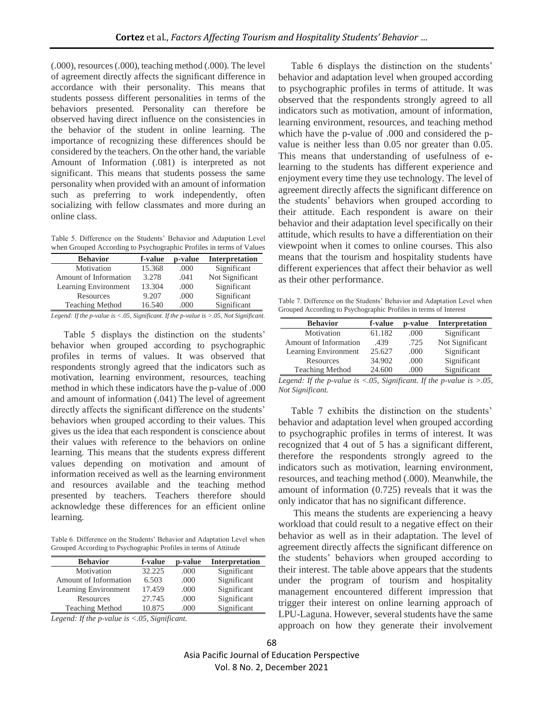(.000), resources (.000), teaching method (.000). The level of agreement directly affects the significant difference in accordance with their personality. This means that students possess different personalities in terms of the behaviors presented. Personality can therefore be observed having direct influence on the consistencies in the behavior of the student in online learning. The importance of recognizing these differences should be considered by the teachers. On the other hand, the variable Amount of Information (.081) is interpreted as not significant. This means that students possess the same personality when provided with an amount of information such as preferring to work independently, often socializing with fellow classmates and more during an online class.

Table 5. Difference on the Students' Behavior and Adaptation Level when Grouped According to Psychographic Profiles in terms of Values

| <b>Behavior</b>        | f-value | p-value | <b>Interpretation</b> |
|------------------------|---------|---------|-----------------------|
| Motivation             | 15.368  | .000    | Significant           |
| Amount of Information  | 3.278   | .041    | Not Significant       |
| Learning Environment   | 13.304  | .000    | Significant           |
| Resources              | 9.207   | .000    | Significant           |
| <b>Teaching Method</b> | 16.540  | .000    | Significant           |

*Legend: If the p-value is <.05, Significant. If the p-value is >.05, Not Significant.*

Table 5 displays the distinction on the students' behavior when grouped according to psychographic profiles in terms of values. It was observed that respondents strongly agreed that the indicators such as motivation, learning environment, resources, teaching method in which these indicators have the p-value of .000 and amount of information (.041) The level of agreement directly affects the significant difference on the students' behaviors when grouped according to their values. This gives us the idea that each respondent is conscience about their values with reference to the behaviors on online learning. This means that the students express different values depending on motivation and amount of information received as well as the learning environment and resources available and the teaching method presented by teachers. Teachers therefore should acknowledge these differences for an efficient online learning.

Table 6. Difference on the Students' Behavior and Adaptation Level when Grouped According to Psychographic Profiles in terms of Attitude

| <b>Behavior</b>        | f-value | p-value | <b>Interpretation</b> |
|------------------------|---------|---------|-----------------------|
| Motivation             | 32.225  | .000    | Significant           |
| Amount of Information  | 6.503   | .000    | Significant           |
| Learning Environment   | 17.459  | .000    | Significant           |
| Resources              | 27.745  | .000    | Significant           |
| <b>Teaching Method</b> | 10.875  | .000    | Significant           |

*Legend: If the p-value is <.05, Significant.* 

Table 6 displays the distinction on the students' behavior and adaptation level when grouped according to psychographic profiles in terms of attitude. It was observed that the respondents strongly agreed to all indicators such as motivation, amount of information, learning environment, resources, and teaching method which have the p-value of .000 and considered the pvalue is neither less than 0.05 nor greater than 0.05. This means that understanding of usefulness of elearning to the students has different experience and enjoyment every time they use technology. The level of agreement directly affects the significant difference on the students' behaviors when grouped according to their attitude. Each respondent is aware on their behavior and their adaptation level specifically on their attitude, which results to have a differentiation on their viewpoint when it comes to online courses. This also means that the tourism and hospitality students have different experiences that affect their behavior as well as their other performance.

Table 7. Difference on the Students' Behavior and Adaptation Level when Grouped According to Psychographic Profiles in terms of Interest

| <b>Behavior</b>        | f-value | p-value | Interpretation  |
|------------------------|---------|---------|-----------------|
| Motivation             | 61.182  | .000    | Significant     |
| Amount of Information  | .439    | .725    | Not Significant |
| Learning Environment   | 25.627  | .000    | Significant     |
| Resources              | 34.902  | .000    | Significant     |
| <b>Teaching Method</b> | 24.600  | .000    | Significant     |

*Legend: If the p-value is <.05, Significant. If the p-value is >.05, Not Significant.*

Table 7 exhibits the distinction on the students' behavior and adaptation level when grouped according to psychographic profiles in terms of interest. It was recognized that 4 out of 5 has a significant different, therefore the respondents strongly agreed to the indicators such as motivation, learning environment, resources, and teaching method (.000). Meanwhile, the amount of information (0.725) reveals that it was the only indicator that has no significant difference.

This means the students are experiencing a heavy workload that could result to a negative effect on their behavior as well as in their adaptation. The level of agreement directly affects the significant difference on the students' behaviors when grouped according to their interest. The table above appears that the students under the program of tourism and hospitality management encountered different impression that trigger their interest on online learning approach of LPU-Laguna. However, several students have the same approach on how they generate their involvement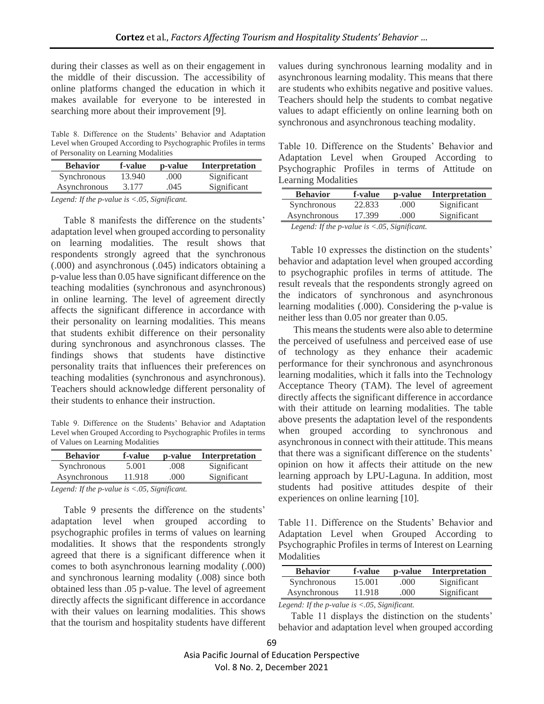during their classes as well as on their engagement in the middle of their discussion. The accessibility of online platforms changed the education in which it makes available for everyone to be interested in searching more about their improvement [9].

Table 8. Difference on the Students' Behavior and Adaptation Level when Grouped According to Psychographic Profiles in terms of Personality on Learning Modalities

| <b>Behavior</b>                                               | f-value | p-value | <b>Interpretation</b> |  |  |
|---------------------------------------------------------------|---------|---------|-----------------------|--|--|
| Synchronous                                                   | 13.940  | .000    | Significant           |  |  |
| Asynchronous                                                  | 3.177   | .045    | Significant           |  |  |
| Legend: If the p-value is $\langle .05, Significant. \rangle$ |         |         |                       |  |  |

Table 8 manifests the difference on the students' adaptation level when grouped according to personality on learning modalities. The result shows that respondents strongly agreed that the synchronous (.000) and asynchronous (.045) indicators obtaining a p-value less than 0.05 have significant difference on the teaching modalities (synchronous and asynchronous) in online learning. The level of agreement directly affects the significant difference in accordance with their personality on learning modalities. This means that students exhibit difference on their personality during synchronous and asynchronous classes. The findings shows that students have distinctive personality traits that influences their preferences on teaching modalities (synchronous and asynchronous). Teachers should acknowledge different personality of their students to enhance their instruction.

Table 9. Difference on the Students' Behavior and Adaptation Level when Grouped According to Psychographic Profiles in terms of Values on Learning Modalities

| <b>Behavior</b> | f-value | p-value | Interpretation |
|-----------------|---------|---------|----------------|
| Synchronous     | 5.001   | .008    | Significant    |
| Asynchronous    | 11.918  | .000    | Significant    |

*Legend: If the p-value is <.05, Significant.* 

Table 9 presents the difference on the students' adaptation level when grouped according to psychographic profiles in terms of values on learning modalities. It shows that the respondents strongly agreed that there is a significant difference when it comes to both asynchronous learning modality (.000) and synchronous learning modality (.008) since both obtained less than .05 p-value. The level of agreement directly affects the significant difference in accordance with their values on learning modalities. This shows that the tourism and hospitality students have different

values during synchronous learning modality and in asynchronous learning modality. This means that there are students who exhibits negative and positive values. Teachers should help the students to combat negative values to adapt efficiently on online learning both on synchronous and asynchronous teaching modality.

Table 10. Difference on the Students' Behavior and Adaptation Level when Grouped According to Psychographic Profiles in terms of Attitude on Learning Modalities

| <b>Behavior</b>                                          | f-value | p-value | Interpretation |
|----------------------------------------------------------|---------|---------|----------------|
| Synchronous                                              | 22.833  | .000.   | Significant    |
| Asynchronous                                             | 17.399  | .000    | Significant    |
| Logand: If the <i>n</i> -value is $\geq$ 05. Significant |         |         |                |

*Legend: If the p-value is <.05, Significant.*

Table 10 expresses the distinction on the students' behavior and adaptation level when grouped according to psychographic profiles in terms of attitude. The result reveals that the respondents strongly agreed on the indicators of synchronous and asynchronous learning modalities (.000). Considering the p-value is neither less than 0.05 nor greater than 0.05.

This means the students were also able to determine the perceived of usefulness and perceived ease of use of technology as they enhance their academic performance for their synchronous and asynchronous learning modalities, which it falls into the Technology Acceptance Theory (TAM). The level of agreement directly affects the significant difference in accordance with their attitude on learning modalities. The table above presents the adaptation level of the respondents when grouped according to synchronous and asynchronous in connect with their attitude. This means that there was a significant difference on the students' opinion on how it affects their attitude on the new learning approach by LPU-Laguna. In addition, most students had positive attitudes despite of their experiences on online learning [10].

Table 11. Difference on the Students' Behavior and Adaptation Level when Grouped According to Psychographic Profiles in terms of Interest on Learning **Modalities** 

| <b>Behavior</b> | f-value | p-value | <b>Interpretation</b> |
|-----------------|---------|---------|-----------------------|
| Synchronous     | 15.001  | .000    | Significant           |
| Asynchronous    | 11.918  | .000    | Significant           |

*Legend: If the p-value is <.05, Significant.* 

Table 11 displays the distinction on the students' behavior and adaptation level when grouped according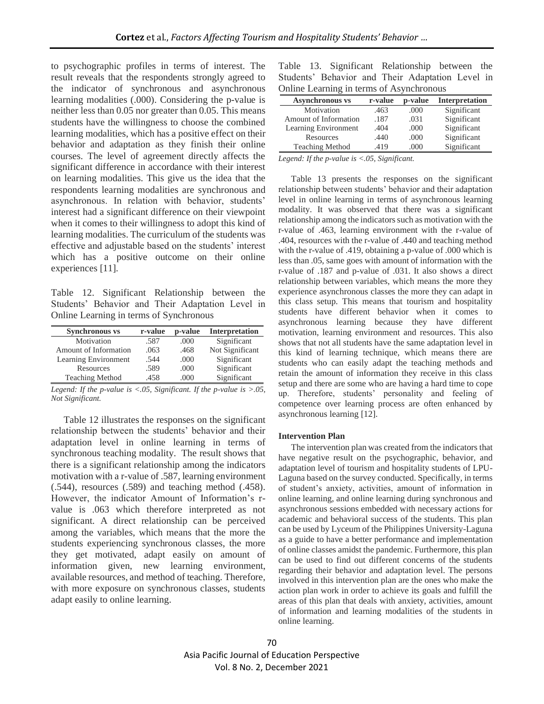to psychographic profiles in terms of interest. The result reveals that the respondents strongly agreed to the indicator of synchronous and asynchronous learning modalities (.000). Considering the p-value is neither less than 0.05 nor greater than 0.05. This means students have the willingness to choose the combined learning modalities, which has a positive effect on their behavior and adaptation as they finish their online courses. The level of agreement directly affects the significant difference in accordance with their interest on learning modalities. This give us the idea that the respondents learning modalities are synchronous and asynchronous. In relation with behavior, students' interest had a significant difference on their viewpoint when it comes to their willingness to adopt this kind of learning modalities. The curriculum of the students was effective and adjustable based on the students' interest which has a positive outcome on their online experiences [11].

Table 12. Significant Relationship between the Students' Behavior and Their Adaptation Level in Online Learning in terms of Synchronous

| <b>Synchronous vs</b>  | r-value | p-value | Interpretation  |
|------------------------|---------|---------|-----------------|
| Motivation             | .587    | .000    | Significant     |
| Amount of Information  | .063    | .468    | Not Significant |
| Learning Environment   | .544    | .000    | Significant     |
| Resources              | .589    | .000    | Significant     |
| <b>Teaching Method</b> | .458    | .000    | Significant     |

*Legend: If the p-value is <.05, Significant. If the p-value is >.05, Not Significant.*

Table 12 illustrates the responses on the significant relationship between the students' behavior and their adaptation level in online learning in terms of synchronous teaching modality. The result shows that there is a significant relationship among the indicators motivation with a r-value of .587, learning environment (.544), resources (.589) and teaching method (.458). However, the indicator Amount of Information's rvalue is .063 which therefore interpreted as not significant. A direct relationship can be perceived among the variables, which means that the more the students experiencing synchronous classes, the more they get motivated, adapt easily on amount of information given, new learning environment, available resources, and method of teaching. Therefore, with more exposure on synchronous classes, students adapt easily to online learning.

Table 13. Significant Relationship between the Students' Behavior and Their Adaptation Level in Online Learning in terms of Asynchronous

| <b>Asynchronous vs</b> | r-value | p-value | Interpretation |
|------------------------|---------|---------|----------------|
| Motivation             | .463    | .000    | Significant    |
| Amount of Information  | .187    | .031    | Significant    |
| Learning Environment   | .404    | .000    | Significant    |
| Resources              | .440    | .000    | Significant    |
| <b>Teaching Method</b> | .419    | .000    | Significant    |

*Legend: If the p-value is <.05, Significant.* 

Table 13 presents the responses on the significant relationship between students' behavior and their adaptation level in online learning in terms of asynchronous learning modality. It was observed that there was a significant relationship among the indicators such as motivation with the r-value of .463, learning environment with the r-value of .404, resources with the r-value of .440 and teaching method with the r-value of .419, obtaining a p-value of .000 which is less than .05, same goes with amount of information with the r-value of .187 and p-value of .031. It also shows a direct relationship between variables, which means the more they experience asynchronous classes the more they can adapt in this class setup. This means that tourism and hospitality students have different behavior when it comes to asynchronous learning because they have different motivation, learning environment and resources. This also shows that not all students have the same adaptation level in this kind of learning technique, which means there are students who can easily adapt the teaching methods and retain the amount of information they receive in this class setup and there are some who are having a hard time to cope up. Therefore, students' personality and feeling of competence over learning process are often enhanced by asynchronous learning [12].

#### **Intervention Plan**

The intervention plan was created from the indicators that have negative result on the psychographic, behavior, and adaptation level of tourism and hospitality students of LPU-Laguna based on the survey conducted. Specifically, in terms of student's anxiety, activities, amount of information in online learning, and online learning during synchronous and asynchronous sessions embedded with necessary actions for academic and behavioral success of the students. This plan can be used by Lyceum of the Philippines University-Laguna as a guide to have a better performance and implementation of online classes amidst the pandemic. Furthermore, this plan can be used to find out different concerns of the students regarding their behavior and adaptation level. The persons involved in this intervention plan are the ones who make the action plan work in order to achieve its goals and fulfill the areas of this plan that deals with anxiety, activities, amount of information and learning modalities of the students in online learning.